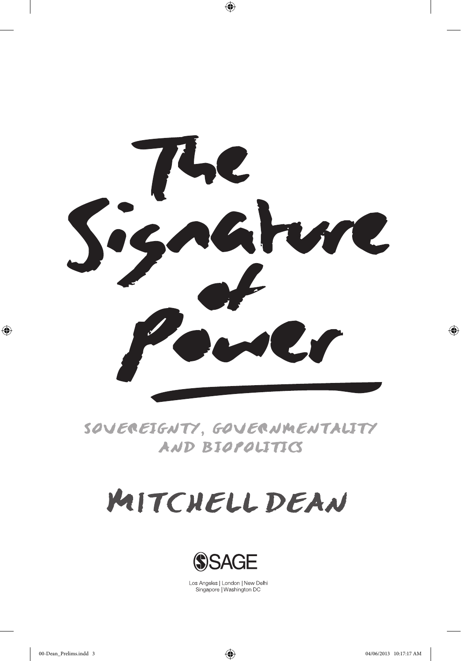

SOVEREIGNTY, GOVERNMENTALITY AND BIOPOLITICS

## MITCHELL DEAN



Los Angeles | London | New Delhi<br>Singapore | Washington DC

⊕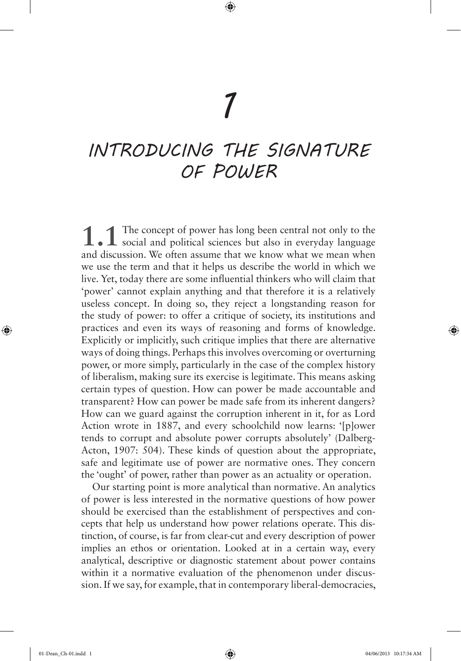# *1*

⊕

## *INTRODUCING THE SIGNATURE OF POWER*

1.1<sup>The concept of power has long been central not only to the social and political sciences but also in everyday language</sup> and discussion. We often assume that we know what we mean when we use the term and that it helps us describe the world in which we live. Yet, today there are some influential thinkers who will claim that 'power' cannot explain anything and that therefore it is a relatively useless concept. In doing so, they reject a longstanding reason for the study of power: to offer a critique of society, its institutions and practices and even its ways of reasoning and forms of knowledge. Explicitly or implicitly, such critique implies that there are alternative ways of doing things. Perhaps this involves overcoming or overturning power, or more simply, particularly in the case of the complex history of liberalism, making sure its exercise is legitimate. This means asking certain types of question. How can power be made accountable and transparent? How can power be made safe from its inherent dangers? How can we guard against the corruption inherent in it, for as Lord Action wrote in 1887, and every schoolchild now learns: '[p]ower tends to corrupt and absolute power corrupts absolutely' (Dalberg-Acton, 1907: 504). These kinds of question about the appropriate, safe and legitimate use of power are normative ones. They concern the 'ought' of power, rather than power as an actuality or operation.

Our starting point is more analytical than normative. An analytics of power is less interested in the normative questions of how power should be exercised than the establishment of perspectives and concepts that help us understand how power relations operate. This distinction, of course, is far from clear-cut and every description of power implies an ethos or orientation. Looked at in a certain way, every analytical, descriptive or diagnostic statement about power contains within it a normative evaluation of the phenomenon under discussion. If we say, for example, that in contemporary liberal-democracies,

◈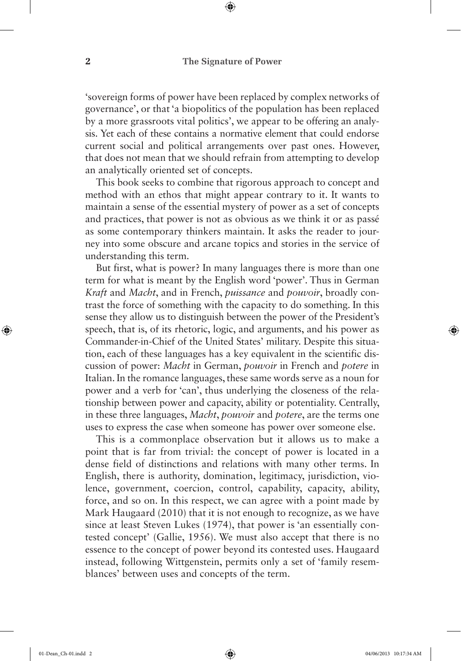⊕

'sovereign forms of power have been replaced by complex networks of governance', or that 'a biopolitics of the population has been replaced by a more grassroots vital politics', we appear to be offering an analysis. Yet each of these contains a normative element that could endorse current social and political arrangements over past ones. However, that does not mean that we should refrain from attempting to develop an analytically oriented set of concepts.

This book seeks to combine that rigorous approach to concept and method with an ethos that might appear contrary to it. It wants to maintain a sense of the essential mystery of power as a set of concepts and practices, that power is not as obvious as we think it or as passé as some contemporary thinkers maintain. It asks the reader to journey into some obscure and arcane topics and stories in the service of understanding this term.

But first, what is power? In many languages there is more than one term for what is meant by the English word 'power'. Thus in German *Kraft* and *Macht*, and in French, *puissance* and *pouvoir*, broadly contrast the force of something with the capacity to do something. In this sense they allow us to distinguish between the power of the President's speech, that is, of its rhetoric, logic, and arguments, and his power as Commander-in-Chief of the United States' military. Despite this situation, each of these languages has a key equivalent in the scientific discussion of power: *Macht* in German, *pouvoir* in French and *potere* in Italian. In the romance languages, these same words serve as a noun for power and a verb for 'can', thus underlying the closeness of the relationship between power and capacity, ability or potentiality. Centrally, in these three languages, *Macht*, *pouvoir* and *potere*, are the terms one uses to express the case when someone has power over someone else.

This is a commonplace observation but it allows us to make a point that is far from trivial: the concept of power is located in a dense field of distinctions and relations with many other terms. In English, there is authority, domination, legitimacy, jurisdiction, violence, government, coercion, control, capability, capacity, ability, force, and so on. In this respect, we can agree with a point made by Mark Haugaard (2010) that it is not enough to recognize, as we have since at least Steven Lukes (1974), that power is 'an essentially contested concept' (Gallie, 1956). We must also accept that there is no essence to the concept of power beyond its contested uses. Haugaard instead, following Wittgenstein, permits only a set of 'family resemblances' between uses and concepts of the term.

◈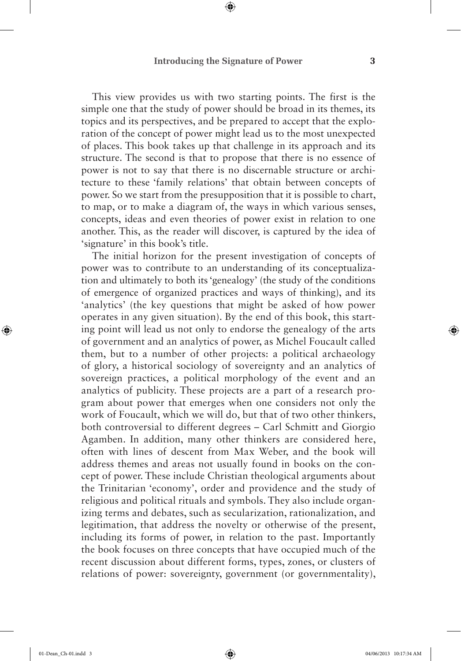⊕

This view provides us with two starting points. The first is the simple one that the study of power should be broad in its themes, its topics and its perspectives, and be prepared to accept that the exploration of the concept of power might lead us to the most unexpected of places. This book takes up that challenge in its approach and its structure. The second is that to propose that there is no essence of power is not to say that there is no discernable structure or architecture to these 'family relations' that obtain between concepts of power. So we start from the presupposition that it is possible to chart, to map, or to make a diagram of, the ways in which various senses, concepts, ideas and even theories of power exist in relation to one another. This, as the reader will discover, is captured by the idea of 'signature' in this book's title.

The initial horizon for the present investigation of concepts of power was to contribute to an understanding of its conceptualization and ultimately to both its 'genealogy' (the study of the conditions of emergence of organized practices and ways of thinking), and its 'analytics' (the key questions that might be asked of how power operates in any given situation). By the end of this book, this starting point will lead us not only to endorse the genealogy of the arts of government and an analytics of power, as Michel Foucault called them, but to a number of other projects: a political archaeology of glory, a historical sociology of sovereignty and an analytics of sovereign practices, a political morphology of the event and an analytics of publicity. These projects are a part of a research program about power that emerges when one considers not only the work of Foucault, which we will do, but that of two other thinkers, both controversial to different degrees – Carl Schmitt and Giorgio Agamben. In addition, many other thinkers are considered here, often with lines of descent from Max Weber, and the book will address themes and areas not usually found in books on the concept of power. These include Christian theological arguments about the Trinitarian 'economy', order and providence and the study of religious and political rituals and symbols. They also include organizing terms and debates, such as secularization, rationalization, and legitimation, that address the novelty or otherwise of the present, including its forms of power, in relation to the past. Importantly the book focuses on three concepts that have occupied much of the recent discussion about different forms, types, zones, or clusters of relations of power: sovereignty, government (or governmentality),

◈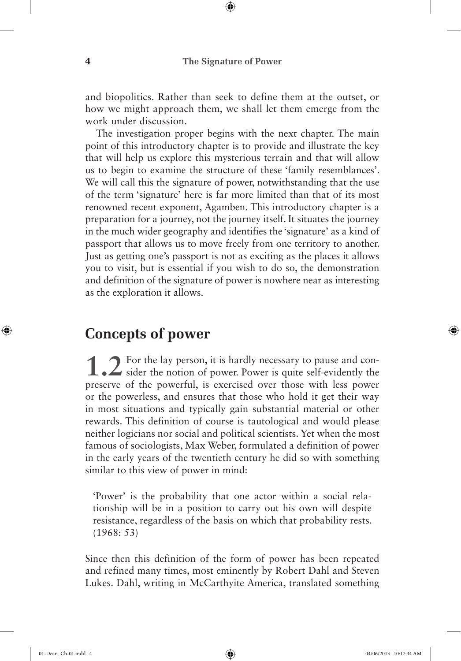and biopolitics. Rather than seek to define them at the outset, or how we might approach them, we shall let them emerge from the work under discussion.

The investigation proper begins with the next chapter. The main point of this introductory chapter is to provide and illustrate the key that will help us explore this mysterious terrain and that will allow us to begin to examine the structure of these 'family resemblances'. We will call this the signature of power, notwithstanding that the use of the term 'signature' here is far more limited than that of its most renowned recent exponent, Agamben. This introductory chapter is a preparation for a journey, not the journey itself. It situates the journey in the much wider geography and identifies the 'signature' as a kind of passport that allows us to move freely from one territory to another. Just as getting one's passport is not as exciting as the places it allows you to visit, but is essential if you wish to do so, the demonstration and definition of the signature of power is nowhere near as interesting as the exploration it allows.

### **Concepts of power**

1.2 For the lay person, it is hardly necessary to pause and con-<br>sider the notion of power. Power is quite self-evidently the preserve of the powerful, is exercised over those with less power or the powerless, and ensures that those who hold it get their way in most situations and typically gain substantial material or other rewards. This definition of course is tautological and would please neither logicians nor social and political scientists. Yet when the most famous of sociologists, Max Weber, formulated a definition of power in the early years of the twentieth century he did so with something similar to this view of power in mind:

'Power' is the probability that one actor within a social relationship will be in a position to carry out his own will despite resistance, regardless of the basis on which that probability rests. (1968: 53)

Since then this definition of the form of power has been repeated and refined many times, most eminently by Robert Dahl and Steven Lukes. Dahl, writing in McCarthyite America, translated something

◈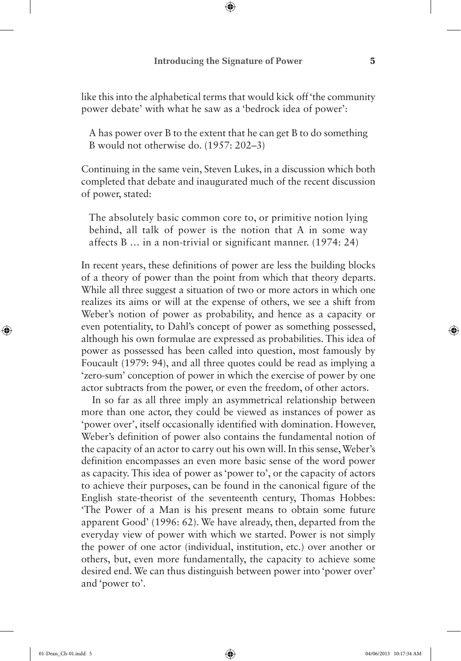⊕

like this into the alphabetical terms that would kick off 'the community power debate' with what he saw as a 'bedrock idea of power':

A has power over B to the extent that he can get B to do something B would not otherwise do. (1957: 202–3)

Continuing in the same vein, Steven Lukes, in a discussion which both completed that debate and inaugurated much of the recent discussion of power, stated:

The absolutely basic common core to, or primitive notion lying behind, all talk of power is the notion that A in some way affects B … in a non-trivial or significant manner. (1974: 24)

In recent years, these definitions of power are less the building blocks of a theory of power than the point from which that theory departs. While all three suggest a situation of two or more actors in which one realizes its aims or will at the expense of others, we see a shift from Weber's notion of power as probability, and hence as a capacity or even potentiality, to Dahl's concept of power as something possessed, although his own formulae are expressed as probabilities. This idea of power as possessed has been called into question, most famously by Foucault (1979: 94), and all three quotes could be read as implying a 'zero-sum' conception of power in which the exercise of power by one actor subtracts from the power, or even the freedom, of other actors.

In so far as all three imply an asymmetrical relationship between more than one actor, they could be viewed as instances of power as 'power over', itself occasionally identified with domination. However, Weber's definition of power also contains the fundamental notion of the capacity of an actor to carry out his own will. In this sense, Weber's definition encompasses an even more basic sense of the word power as capacity. This idea of power as 'power to', or the capacity of actors to achieve their purposes, can be found in the canonical figure of the English state-theorist of the seventeenth century, Thomas Hobbes: 'The Power of a Man is his present means to obtain some future apparent Good' (1996: 62). We have already, then, departed from the everyday view of power with which we started. Power is not simply the power of one actor (individual, institution, etc.) over another or others, but, even more fundamentally, the capacity to achieve some desired end. We can thus distinguish between power into 'power over' and 'power to'.

◈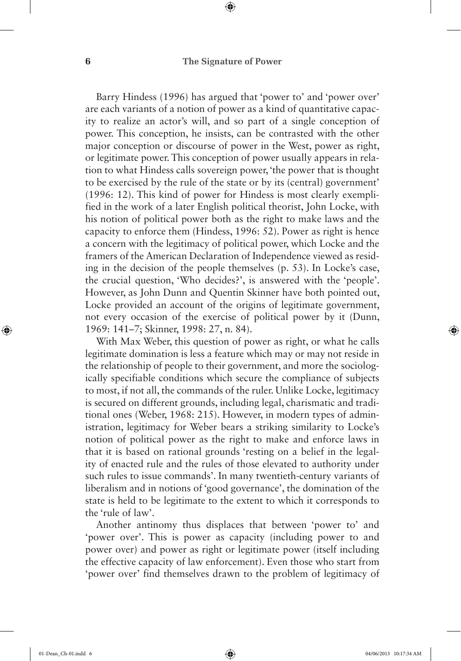⊕

Barry Hindess (1996) has argued that 'power to' and 'power over' are each variants of a notion of power as a kind of quantitative capacity to realize an actor's will, and so part of a single conception of power. This conception, he insists, can be contrasted with the other major conception or discourse of power in the West, power as right, or legitimate power. This conception of power usually appears in relation to what Hindess calls sovereign power, 'the power that is thought to be exercised by the rule of the state or by its (central) government' (1996: 12). This kind of power for Hindess is most clearly exemplified in the work of a later English political theorist, John Locke, with his notion of political power both as the right to make laws and the capacity to enforce them (Hindess, 1996: 52). Power as right is hence a concern with the legitimacy of political power, which Locke and the framers of the American Declaration of Independence viewed as residing in the decision of the people themselves (p. 53). In Locke's case, the crucial question, 'Who decides?', is answered with the 'people'. However, as John Dunn and Quentin Skinner have both pointed out, Locke provided an account of the origins of legitimate government, not every occasion of the exercise of political power by it (Dunn, 1969: 141–7; Skinner, 1998: 27, n. 84).

With Max Weber, this question of power as right, or what he calls legitimate domination is less a feature which may or may not reside in the relationship of people to their government, and more the sociologically specifiable conditions which secure the compliance of subjects to most, if not all, the commands of the ruler. Unlike Locke, legitimacy is secured on different grounds, including legal, charismatic and traditional ones (Weber, 1968: 215). However, in modern types of administration, legitimacy for Weber bears a striking similarity to Locke's notion of political power as the right to make and enforce laws in that it is based on rational grounds 'resting on a belief in the legality of enacted rule and the rules of those elevated to authority under such rules to issue commands'. In many twentieth-century variants of liberalism and in notions of 'good governance', the domination of the state is held to be legitimate to the extent to which it corresponds to the 'rule of law'.

Another antinomy thus displaces that between 'power to' and 'power over'. This is power as capacity (including power to and power over) and power as right or legitimate power (itself including the effective capacity of law enforcement). Even those who start from 'power over' find themselves drawn to the problem of legitimacy of

◈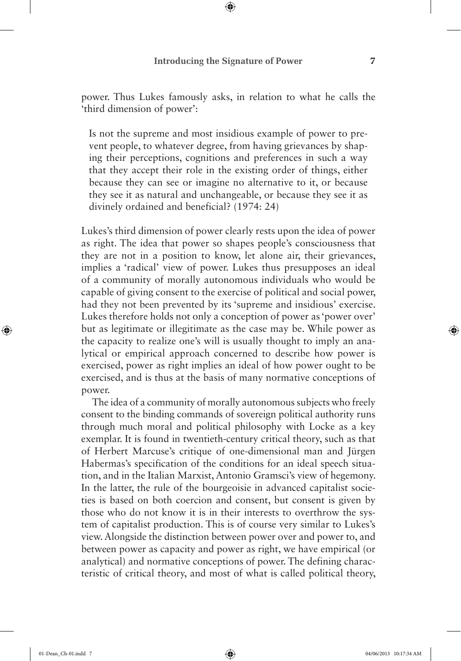⊕

power. Thus Lukes famously asks, in relation to what he calls the 'third dimension of power':

Is not the supreme and most insidious example of power to prevent people, to whatever degree, from having grievances by shaping their perceptions, cognitions and preferences in such a way that they accept their role in the existing order of things, either because they can see or imagine no alternative to it, or because they see it as natural and unchangeable, or because they see it as divinely ordained and beneficial? (1974: 24)

Lukes's third dimension of power clearly rests upon the idea of power as right. The idea that power so shapes people's consciousness that they are not in a position to know, let alone air, their grievances, implies a 'radical' view of power. Lukes thus presupposes an ideal of a community of morally autonomous individuals who would be capable of giving consent to the exercise of political and social power, had they not been prevented by its 'supreme and insidious' exercise. Lukes therefore holds not only a conception of power as 'power over' but as legitimate or illegitimate as the case may be. While power as the capacity to realize one's will is usually thought to imply an analytical or empirical approach concerned to describe how power is exercised, power as right implies an ideal of how power ought to be exercised, and is thus at the basis of many normative conceptions of power.

The idea of a community of morally autonomous subjects who freely consent to the binding commands of sovereign political authority runs through much moral and political philosophy with Locke as a key exemplar. It is found in twentieth-century critical theory, such as that of Herbert Marcuse's critique of one-dimensional man and Jürgen Habermas's specification of the conditions for an ideal speech situation, and in the Italian Marxist, Antonio Gramsci's view of hegemony. In the latter, the rule of the bourgeoisie in advanced capitalist societies is based on both coercion and consent, but consent is given by those who do not know it is in their interests to overthrow the system of capitalist production. This is of course very similar to Lukes's view. Alongside the distinction between power over and power to, and between power as capacity and power as right, we have empirical (or analytical) and normative conceptions of power. The defining characteristic of critical theory, and most of what is called political theory,

◈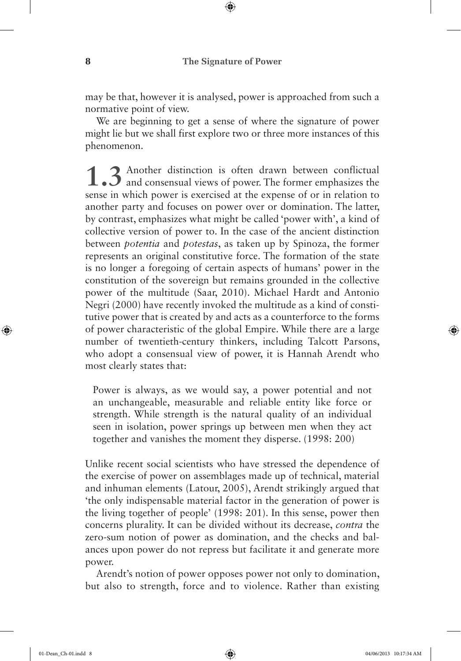⊕

may be that, however it is analysed, power is approached from such a normative point of view.

We are beginning to get a sense of where the signature of power might lie but we shall first explore two or three more instances of this phenomenon.

1.3<sup>Another</sup> distinction is often drawn between conflictual and consensual views of power. The former emphasizes the sense in which power is exercised at the expense of or in relation to another party and focuses on power over or domination. The latter, by contrast, emphasizes what might be called 'power with', a kind of collective version of power to. In the case of the ancient distinction between *potentia* and *potestas*, as taken up by Spinoza, the former represents an original constitutive force. The formation of the state is no longer a foregoing of certain aspects of humans' power in the constitution of the sovereign but remains grounded in the collective power of the multitude (Saar, 2010). Michael Hardt and Antonio Negri (2000) have recently invoked the multitude as a kind of constitutive power that is created by and acts as a counterforce to the forms of power characteristic of the global Empire. While there are a large number of twentieth-century thinkers, including Talcott Parsons, who adopt a consensual view of power, it is Hannah Arendt who most clearly states that:

Power is always, as we would say, a power potential and not an unchangeable, measurable and reliable entity like force or strength. While strength is the natural quality of an individual seen in isolation, power springs up between men when they act together and vanishes the moment they disperse. (1998: 200)

Unlike recent social scientists who have stressed the dependence of the exercise of power on assemblages made up of technical, material and inhuman elements (Latour, 2005), Arendt strikingly argued that 'the only indispensable material factor in the generation of power is the living together of people' (1998: 201). In this sense, power then concerns plurality. It can be divided without its decrease, *contra* the zero-sum notion of power as domination, and the checks and balances upon power do not repress but facilitate it and generate more power.

Arendt's notion of power opposes power not only to domination, but also to strength, force and to violence. Rather than existing

◈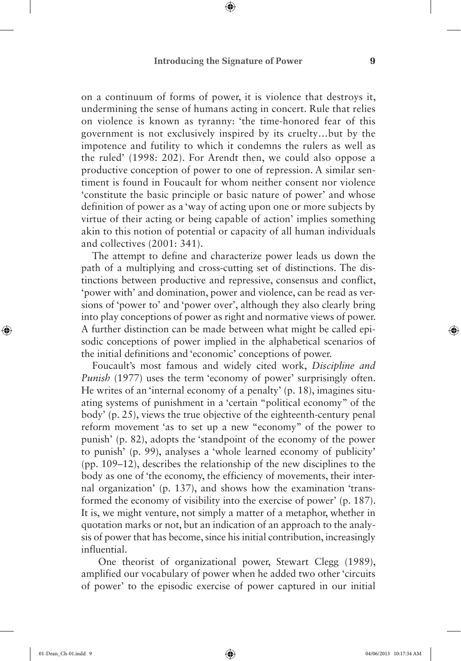⊕

on a continuum of forms of power, it is violence that destroys it, undermining the sense of humans acting in concert. Rule that relies on violence is known as tyranny: 'the time-honored fear of this government is not exclusively inspired by its cruelty…but by the impotence and futility to which it condemns the rulers as well as the ruled' (1998: 202). For Arendt then, we could also oppose a productive conception of power to one of repression. A similar sentiment is found in Foucault for whom neither consent nor violence 'constitute the basic principle or basic nature of power' and whose definition of power as a 'way of acting upon one or more subjects by virtue of their acting or being capable of action' implies something akin to this notion of potential or capacity of all human individuals and collectives (2001: 341).

The attempt to define and characterize power leads us down the path of a multiplying and cross-cutting set of distinctions. The distinctions between productive and repressive, consensus and conflict, 'power with' and domination, power and violence, can be read as versions of 'power to' and 'power over', although they also clearly bring into play conceptions of power as right and normative views of power. A further distinction can be made between what might be called episodic conceptions of power implied in the alphabetical scenarios of the initial definitions and 'economic' conceptions of power.

Foucault's most famous and widely cited work, *Discipline and Punish* (1977) uses the term 'economy of power' surprisingly often. He writes of an 'internal economy of a penalty' (p. 18), imagines situating systems of punishment in a 'certain "political economy" of the body' (p. 25), views the true objective of the eighteenth-century penal reform movement 'as to set up a new "economy" of the power to punish' (p. 82), adopts the 'standpoint of the economy of the power to punish' (p. 99), analyses a 'whole learned economy of publicity' (pp. 109–12), describes the relationship of the new disciplines to the body as one of 'the economy, the efficiency of movements, their internal organization' (p. 137), and shows how the examination 'transformed the economy of visibility into the exercise of power' (p. 187). It is, we might venture, not simply a matter of a metaphor, whether in quotation marks or not, but an indication of an approach to the analysis of power that has become, since his initial contribution, increasingly influential.

 One theorist of organizational power, Stewart Clegg (1989), amplified our vocabulary of power when he added two other 'circuits of power' to the episodic exercise of power captured in our initial

◈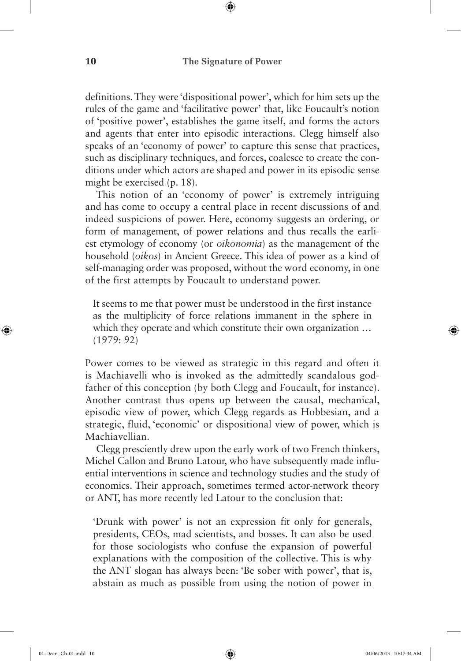definitions. They were 'dispositional power', which for him sets up the rules of the game and 'facilitative power' that, like Foucault's notion of 'positive power', establishes the game itself, and forms the actors and agents that enter into episodic interactions. Clegg himself also speaks of an 'economy of power' to capture this sense that practices, such as disciplinary techniques, and forces, coalesce to create the conditions under which actors are shaped and power in its episodic sense might be exercised (p. 18).

This notion of an 'economy of power' is extremely intriguing and has come to occupy a central place in recent discussions of and indeed suspicions of power. Here, economy suggests an ordering, or form of management, of power relations and thus recalls the earliest etymology of economy (or *oikonomia*) as the management of the household (*oikos*) in Ancient Greece. This idea of power as a kind of self-managing order was proposed, without the word economy, in one of the first attempts by Foucault to understand power.

It seems to me that power must be understood in the first instance as the multiplicity of force relations immanent in the sphere in which they operate and which constitute their own organization ... (1979: 92)

Power comes to be viewed as strategic in this regard and often it is Machiavelli who is invoked as the admittedly scandalous godfather of this conception (by both Clegg and Foucault, for instance). Another contrast thus opens up between the causal, mechanical, episodic view of power, which Clegg regards as Hobbesian, and a strategic, fluid, 'economic' or dispositional view of power, which is Machiavellian.

Clegg presciently drew upon the early work of two French thinkers, Michel Callon and Bruno Latour, who have subsequently made influential interventions in science and technology studies and the study of economics. Their approach, sometimes termed actor-network theory or ANT, has more recently led Latour to the conclusion that:

'Drunk with power' is not an expression fit only for generals, presidents, CEOs, mad scientists, and bosses. It can also be used for those sociologists who confuse the expansion of powerful explanations with the composition of the collective. This is why the ANT slogan has always been: 'Be sober with power', that is, abstain as much as possible from using the notion of power in

◈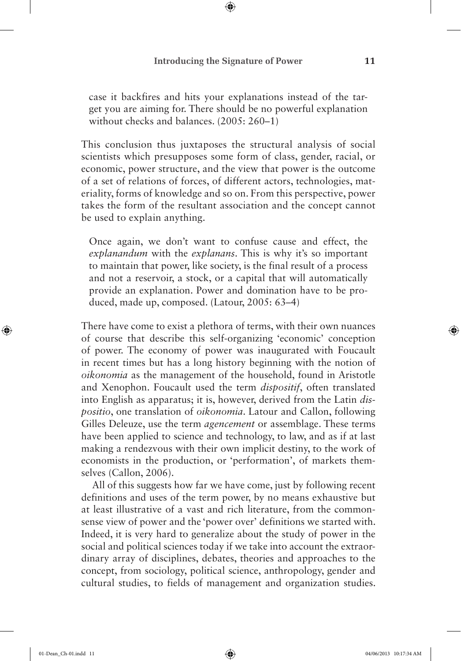⊕

case it backfires and hits your explanations instead of the target you are aiming for. There should be no powerful explanation without checks and balances. (2005: 260–1)

This conclusion thus juxtaposes the structural analysis of social scientists which presupposes some form of class, gender, racial, or economic, power structure, and the view that power is the outcome of a set of relations of forces, of different actors, technologies, materiality, forms of knowledge and so on. From this perspective, power takes the form of the resultant association and the concept cannot be used to explain anything.

Once again, we don't want to confuse cause and effect, the *explanandum* with the *explanans*. This is why it's so important to maintain that power, like society, is the final result of a process and not a reservoir, a stock, or a capital that will automatically provide an explanation. Power and domination have to be produced, made up, composed. (Latour, 2005: 63–4)

There have come to exist a plethora of terms, with their own nuances of course that describe this self-organizing 'economic' conception of power. The economy of power was inaugurated with Foucault in recent times but has a long history beginning with the notion of *oikonomia* as the management of the household, found in Aristotle and Xenophon. Foucault used the term *dispositif*, often translated into English as apparatus; it is, however, derived from the Latin *dispositio*, one translation of *oikonomia*. Latour and Callon, following Gilles Deleuze, use the term *agencement* or assemblage. These terms have been applied to science and technology, to law, and as if at last making a rendezvous with their own implicit destiny, to the work of economists in the production, or 'performation', of markets themselves (Callon, 2006).

All of this suggests how far we have come, just by following recent definitions and uses of the term power, by no means exhaustive but at least illustrative of a vast and rich literature, from the commonsense view of power and the 'power over' definitions we started with. Indeed, it is very hard to generalize about the study of power in the social and political sciences today if we take into account the extraordinary array of disciplines, debates, theories and approaches to the concept, from sociology, political science, anthropology, gender and cultural studies, to fields of management and organization studies.

◈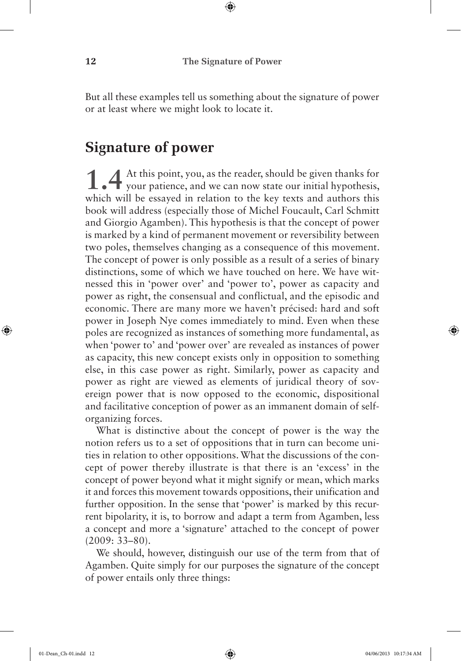But all these examples tell us something about the signature of power or at least where we might look to locate it.

## **Signature of power**

1.4<sup>At this point, you, as the reader, should be given thanks for your patience, and we can now state our initial hypothesis,</sup> which will be essayed in relation to the key texts and authors this book will address (especially those of Michel Foucault, Carl Schmitt and Giorgio Agamben). This hypothesis is that the concept of power is marked by a kind of permanent movement or reversibility between two poles, themselves changing as a consequence of this movement. The concept of power is only possible as a result of a series of binary distinctions, some of which we have touched on here. We have witnessed this in 'power over' and 'power to', power as capacity and power as right, the consensual and conflictual, and the episodic and economic. There are many more we haven't précised: hard and soft power in Joseph Nye comes immediately to mind. Even when these poles are recognized as instances of something more fundamental, as when 'power to' and 'power over' are revealed as instances of power as capacity, this new concept exists only in opposition to something else, in this case power as right. Similarly, power as capacity and power as right are viewed as elements of juridical theory of sovereign power that is now opposed to the economic, dispositional and facilitative conception of power as an immanent domain of selforganizing forces.

What is distinctive about the concept of power is the way the notion refers us to a set of oppositions that in turn can become unities in relation to other oppositions. What the discussions of the concept of power thereby illustrate is that there is an 'excess' in the concept of power beyond what it might signify or mean, which marks it and forces this movement towards oppositions, their unification and further opposition. In the sense that 'power' is marked by this recurrent bipolarity, it is, to borrow and adapt a term from Agamben, less a concept and more a 'signature' attached to the concept of power (2009: 33–80).

We should, however, distinguish our use of the term from that of Agamben. Quite simply for our purposes the signature of the concept of power entails only three things:

◈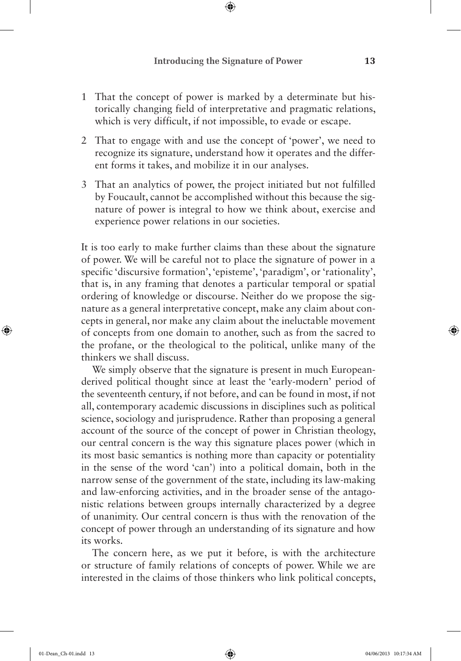⊕

- 1 That the concept of power is marked by a determinate but historically changing field of interpretative and pragmatic relations, which is very difficult, if not impossible, to evade or escape.
- 2 That to engage with and use the concept of 'power', we need to recognize its signature, understand how it operates and the different forms it takes, and mobilize it in our analyses.
- 3 That an analytics of power, the project initiated but not fulfilled by Foucault, cannot be accomplished without this because the signature of power is integral to how we think about, exercise and experience power relations in our societies.

It is too early to make further claims than these about the signature of power. We will be careful not to place the signature of power in a specific 'discursive formation', 'episteme', 'paradigm', or 'rationality', that is, in any framing that denotes a particular temporal or spatial ordering of knowledge or discourse. Neither do we propose the signature as a general interpretative concept, make any claim about concepts in general, nor make any claim about the ineluctable movement of concepts from one domain to another, such as from the sacred to the profane, or the theological to the political, unlike many of the thinkers we shall discuss.

We simply observe that the signature is present in much Europeanderived political thought since at least the 'early-modern' period of the seventeenth century, if not before, and can be found in most, if not all, contemporary academic discussions in disciplines such as political science, sociology and jurisprudence. Rather than proposing a general account of the source of the concept of power in Christian theology, our central concern is the way this signature places power (which in its most basic semantics is nothing more than capacity or potentiality in the sense of the word 'can') into a political domain, both in the narrow sense of the government of the state, including its law-making and law-enforcing activities, and in the broader sense of the antagonistic relations between groups internally characterized by a degree of unanimity. Our central concern is thus with the renovation of the concept of power through an understanding of its signature and how its works.

The concern here, as we put it before, is with the architecture or structure of family relations of concepts of power. While we are interested in the claims of those thinkers who link political concepts,

◈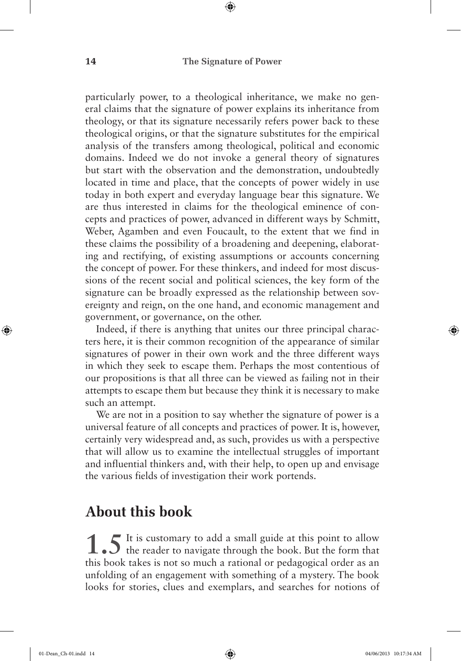⊕

particularly power, to a theological inheritance, we make no general claims that the signature of power explains its inheritance from theology, or that its signature necessarily refers power back to these theological origins, or that the signature substitutes for the empirical analysis of the transfers among theological, political and economic domains. Indeed we do not invoke a general theory of signatures but start with the observation and the demonstration, undoubtedly located in time and place, that the concepts of power widely in use today in both expert and everyday language bear this signature. We are thus interested in claims for the theological eminence of concepts and practices of power, advanced in different ways by Schmitt, Weber, Agamben and even Foucault, to the extent that we find in these claims the possibility of a broadening and deepening, elaborating and rectifying, of existing assumptions or accounts concerning the concept of power. For these thinkers, and indeed for most discussions of the recent social and political sciences, the key form of the signature can be broadly expressed as the relationship between sovereignty and reign, on the one hand, and economic management and government, or governance, on the other.

Indeed, if there is anything that unites our three principal characters here, it is their common recognition of the appearance of similar signatures of power in their own work and the three different ways in which they seek to escape them. Perhaps the most contentious of our propositions is that all three can be viewed as failing not in their attempts to escape them but because they think it is necessary to make such an attempt.

We are not in a position to say whether the signature of power is a universal feature of all concepts and practices of power. It is, however, certainly very widespread and, as such, provides us with a perspective that will allow us to examine the intellectual struggles of important and influential thinkers and, with their help, to open up and envisage the various fields of investigation their work portends.

### **About this book**

1.5<sup>It is</sup> customary to add a small guide at this point to allow the reader to navigate through the book. But the form that this book takes is not so much a rational or pedagogical order as an unfolding of an engagement with something of a mystery. The book looks for stories, clues and exemplars, and searches for notions of

◈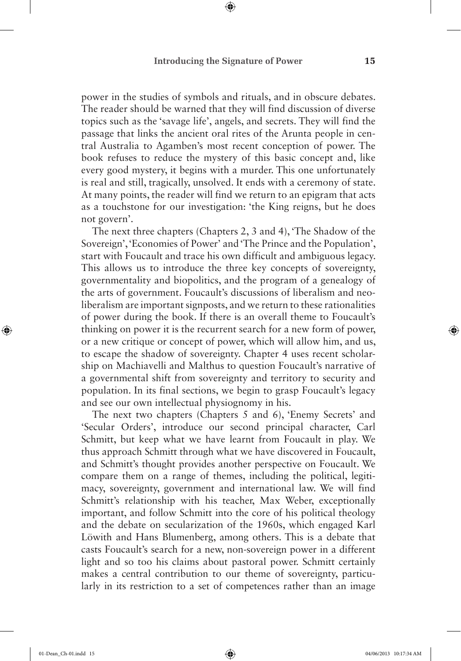⊕

power in the studies of symbols and rituals, and in obscure debates. The reader should be warned that they will find discussion of diverse topics such as the 'savage life', angels, and secrets. They will find the passage that links the ancient oral rites of the Arunta people in central Australia to Agamben's most recent conception of power. The book refuses to reduce the mystery of this basic concept and, like every good mystery, it begins with a murder. This one unfortunately is real and still, tragically, unsolved. It ends with a ceremony of state. At many points, the reader will find we return to an epigram that acts as a touchstone for our investigation: 'the King reigns, but he does not govern'.

The next three chapters (Chapters 2, 3 and 4), 'The Shadow of the Sovereign', 'Economies of Power' and 'The Prince and the Population', start with Foucault and trace his own difficult and ambiguous legacy. This allows us to introduce the three key concepts of sovereignty, governmentality and biopolitics, and the program of a genealogy of the arts of government. Foucault's discussions of liberalism and neoliberalism are important signposts, and we return to these rationalities of power during the book. If there is an overall theme to Foucault's thinking on power it is the recurrent search for a new form of power, or a new critique or concept of power, which will allow him, and us, to escape the shadow of sovereignty. Chapter 4 uses recent scholarship on Machiavelli and Malthus to question Foucault's narrative of a governmental shift from sovereignty and territory to security and population. In its final sections, we begin to grasp Foucault's legacy and see our own intellectual physiognomy in his.

The next two chapters (Chapters 5 and 6), 'Enemy Secrets' and 'Secular Orders', introduce our second principal character, Carl Schmitt, but keep what we have learnt from Foucault in play. We thus approach Schmitt through what we have discovered in Foucault, and Schmitt's thought provides another perspective on Foucault. We compare them on a range of themes, including the political, legitimacy, sovereignty, government and international law. We will find Schmitt's relationship with his teacher, Max Weber, exceptionally important, and follow Schmitt into the core of his political theology and the debate on secularization of the 1960s, which engaged Karl Löwith and Hans Blumenberg, among others. This is a debate that casts Foucault's search for a new, non-sovereign power in a different light and so too his claims about pastoral power. Schmitt certainly makes a central contribution to our theme of sovereignty, particularly in its restriction to a set of competences rather than an image

◈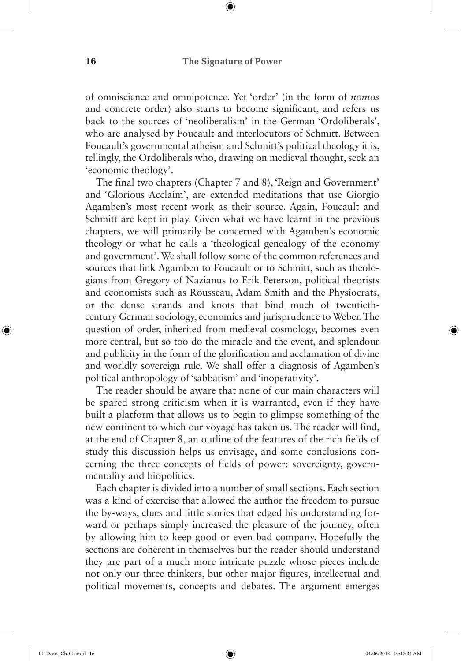of omniscience and omnipotence. Yet 'order' (in the form of *nomos* and concrete order) also starts to become significant, and refers us back to the sources of 'neoliberalism' in the German 'Ordoliberals', who are analysed by Foucault and interlocutors of Schmitt. Between Foucault's governmental atheism and Schmitt's political theology it is, tellingly, the Ordoliberals who, drawing on medieval thought, seek an 'economic theology'.

The final two chapters (Chapter 7 and 8), 'Reign and Government' and 'Glorious Acclaim', are extended meditations that use Giorgio Agamben's most recent work as their source. Again, Foucault and Schmitt are kept in play. Given what we have learnt in the previous chapters, we will primarily be concerned with Agamben's economic theology or what he calls a 'theological genealogy of the economy and government'. We shall follow some of the common references and sources that link Agamben to Foucault or to Schmitt, such as theologians from Gregory of Nazianus to Erik Peterson, political theorists and economists such as Rousseau, Adam Smith and the Physiocrats, or the dense strands and knots that bind much of twentiethcentury German sociology, economics and jurisprudence to Weber. The question of order, inherited from medieval cosmology, becomes even more central, but so too do the miracle and the event, and splendour and publicity in the form of the glorification and acclamation of divine and worldly sovereign rule. We shall offer a diagnosis of Agamben's political anthropology of 'sabbatism' and 'inoperativity'.

The reader should be aware that none of our main characters will be spared strong criticism when it is warranted, even if they have built a platform that allows us to begin to glimpse something of the new continent to which our voyage has taken us. The reader will find, at the end of Chapter 8, an outline of the features of the rich fields of study this discussion helps us envisage, and some conclusions concerning the three concepts of fields of power: sovereignty, governmentality and biopolitics.

Each chapter is divided into a number of small sections. Each section was a kind of exercise that allowed the author the freedom to pursue the by-ways, clues and little stories that edged his understanding forward or perhaps simply increased the pleasure of the journey, often by allowing him to keep good or even bad company. Hopefully the sections are coherent in themselves but the reader should understand they are part of a much more intricate puzzle whose pieces include not only our three thinkers, but other major figures, intellectual and political movements, concepts and debates. The argument emerges

◈